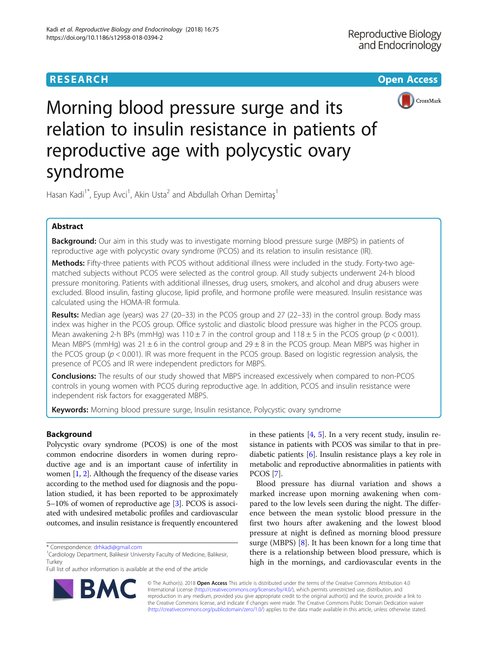# **RESEARCH CHE Open Access**



Morning blood pressure surge and its relation to insulin resistance in patients of reproductive age with polycystic ovary syndrome

Hasan Kadi<sup>1\*</sup>, Eyup Avci<sup>1</sup>, Akin Usta<sup>2</sup> and Abdullah Orhan Demirtaş<sup>1</sup>

# Abstract

**Background:** Our aim in this study was to investigate morning blood pressure surge (MBPS) in patients of reproductive age with polycystic ovary syndrome (PCOS) and its relation to insulin resistance (IR).

Methods: Fifty-three patients with PCOS without additional illness were included in the study. Forty-two agematched subjects without PCOS were selected as the control group. All study subjects underwent 24-h blood pressure monitoring. Patients with additional illnesses, drug users, smokers, and alcohol and drug abusers were excluded. Blood insulin, fasting glucose, lipid profile, and hormone profile were measured. Insulin resistance was calculated using the HOMA-IR formula.

Results: Median age (years) was 27 (20-33) in the PCOS group and 27 (22-33) in the control group. Body mass index was higher in the PCOS group. Office systolic and diastolic blood pressure was higher in the PCOS group. Mean awakening 2-h BPs (mmHg) was  $110 \pm 7$  in the control group and  $118 \pm 5$  in the PCOS group ( $p < 0.001$ ). Mean MBPS (mmHg) was  $21 \pm 6$  in the control group and  $29 \pm 8$  in the PCOS group. Mean MBPS was higher in the PCOS group  $(p < 0.001)$ . IR was more frequent in the PCOS group. Based on logistic regression analysis, the presence of PCOS and IR were independent predictors for MBPS.

**Conclusions:** The results of our study showed that MBPS increased excessively when compared to non-PCOS controls in young women with PCOS during reproductive age. In addition, PCOS and insulin resistance were independent risk factors for exaggerated MBPS.

Keywords: Morning blood pressure surge, Insulin resistance, Polycystic ovary syndrome

## Background

Polycystic ovary syndrome (PCOS) is one of the most common endocrine disorders in women during reproductive age and is an important cause of infertility in women [[1,](#page-4-0) [2](#page-4-0)]. Although the frequency of the disease varies according to the method used for diagnosis and the population studied, it has been reported to be approximately 5–10% of women of reproductive age [[3](#page-4-0)]. PCOS is associated with undesired metabolic profiles and cardiovascular outcomes, and insulin resistance is frequently encountered



Blood pressure has diurnal variation and shows a marked increase upon morning awakening when compared to the low levels seen during the night. The difference between the mean systolic blood pressure in the first two hours after awakening and the lowest blood pressure at night is defined as morning blood pressure surge (MBPS)  $[8]$  $[8]$ . It has been known for a long time that there is a relationship between blood pressure, which is high in the mornings, and cardiovascular events in the



© The Author(s). 2018 Open Access This article is distributed under the terms of the Creative Commons Attribution 4.0 International License [\(http://creativecommons.org/licenses/by/4.0/](http://creativecommons.org/licenses/by/4.0/)), which permits unrestricted use, distribution, and reproduction in any medium, provided you give appropriate credit to the original author(s) and the source, provide a link to the Creative Commons license, and indicate if changes were made. The Creative Commons Public Domain Dedication waiver [\(http://creativecommons.org/publicdomain/zero/1.0/](http://creativecommons.org/publicdomain/zero/1.0/)) applies to the data made available in this article, unless otherwise stated.

<sup>\*</sup> Correspondence: [drhkadi@gmail.com](mailto:drhkadi@gmail.com) <sup>1</sup>

Cardiology Department, Balikesir University Faculty of Medicine, Balikesir, Turkey

Full list of author information is available at the end of the article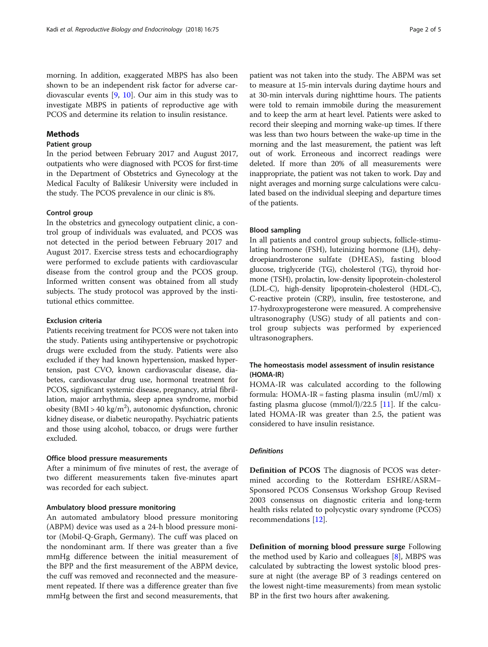morning. In addition, exaggerated MBPS has also been shown to be an independent risk factor for adverse cardiovascular events [\[9,](#page-4-0) [10\]](#page-4-0). Our aim in this study was to investigate MBPS in patients of reproductive age with PCOS and determine its relation to insulin resistance.

## **Methods**

## Patient group

In the period between February 2017 and August 2017, outpatients who were diagnosed with PCOS for first-time in the Department of Obstetrics and Gynecology at the Medical Faculty of Balikesir University were included in the study. The PCOS prevalence in our clinic is 8%.

## Control group

In the obstetrics and gynecology outpatient clinic, a control group of individuals was evaluated, and PCOS was not detected in the period between February 2017 and August 2017. Exercise stress tests and echocardiography were performed to exclude patients with cardiovascular disease from the control group and the PCOS group. Informed written consent was obtained from all study subjects. The study protocol was approved by the institutional ethics committee.

## Exclusion criteria

Patients receiving treatment for PCOS were not taken into the study. Patients using antihypertensive or psychotropic drugs were excluded from the study. Patients were also excluded if they had known hypertension, masked hypertension, past CVO, known cardiovascular disease, diabetes, cardiovascular drug use, hormonal treatment for PCOS, significant systemic disease, pregnancy, atrial fibrillation, major arrhythmia, sleep apnea syndrome, morbid obesity (BMI > 40 kg/m<sup>2</sup>), autonomic dysfunction, chronic kidney disease, or diabetic neuropathy. Psychiatric patients and those using alcohol, tobacco, or drugs were further excluded.

## Office blood pressure measurements

After a minimum of five minutes of rest, the average of two different measurements taken five-minutes apart was recorded for each subject.

## Ambulatory blood pressure monitoring

An automated ambulatory blood pressure monitoring (ABPM) device was used as a 24-h blood pressure monitor (Mobil-Q-Graph, Germany). The cuff was placed on the nondominant arm. If there was greater than a five mmHg difference between the initial measurement of the BPP and the first measurement of the ABPM device, the cuff was removed and reconnected and the measurement repeated. If there was a difference greater than five mmHg between the first and second measurements, that

patient was not taken into the study. The ABPM was set to measure at 15-min intervals during daytime hours and at 30-min intervals during nighttime hours. The patients were told to remain immobile during the measurement and to keep the arm at heart level. Patients were asked to record their sleeping and morning wake-up times. If there was less than two hours between the wake-up time in the morning and the last measurement, the patient was left out of work. Erroneous and incorrect readings were deleted. If more than 20% of all measurements were inappropriate, the patient was not taken to work. Day and night averages and morning surge calculations were calculated based on the individual sleeping and departure times of the patients.

## Blood sampling

In all patients and control group subjects, follicle-stimulating hormone (FSH), luteinizing hormone (LH), dehydroepiandrosterone sulfate (DHEAS), fasting blood glucose, triglyceride (TG), cholesterol (TG), thyroid hormone (TSH), prolactin, low-density lipoprotein-cholesterol (LDL-C), high-density lipoprotein-cholesterol (HDL-C), C-reactive protein (CRP), insulin, free testosterone, and 17-hydroxyprogesterone were measured. A comprehensive ultrasonography (USG) study of all patients and control group subjects was performed by experienced ultrasonographers.

## The homeostasis model assessment of insulin resistance (HOMA-IR)

HOMA-IR was calculated according to the following formula: HOMA-IR = fasting plasma insulin (mU/ml)  $x$ fasting plasma glucose  $(mmol/l)/22.5$  [\[11](#page-4-0)]. If the calculated HOMA-IR was greater than 2.5, the patient was considered to have insulin resistance.

## Definitions

Definition of PCOS The diagnosis of PCOS was determined according to the Rotterdam ESHRE/ASRM– Sponsored PCOS Consensus Workshop Group Revised 2003 consensus on diagnostic criteria and long-term health risks related to polycystic ovary syndrome (PCOS) recommendations [\[12](#page-4-0)].

Definition of morning blood pressure surge Following the method used by Kario and colleagues [\[8](#page-4-0)], MBPS was calculated by subtracting the lowest systolic blood pressure at night (the average BP of 3 readings centered on the lowest night-time measurements) from mean systolic BP in the first two hours after awakening.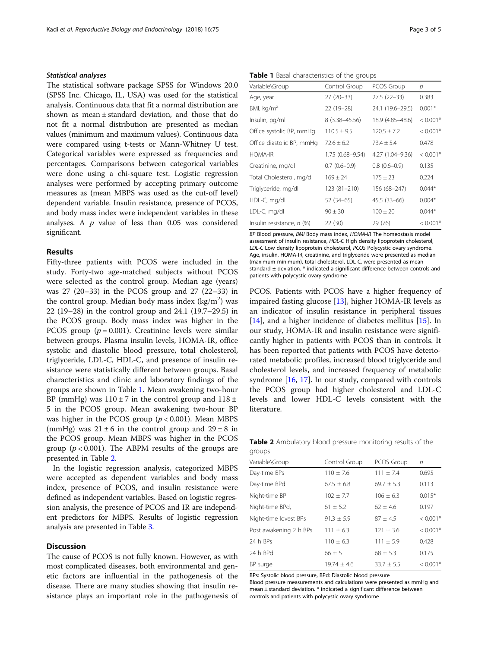## Statistical analyses

The statistical software package SPSS for Windows 20.0 (SPSS Inc. Chicago, IL, USA) was used for the statistical analysis. Continuous data that fit a normal distribution are shown as mean ± standard deviation, and those that do not fit a normal distribution are presented as median values (minimum and maximum values). Continuous data were compared using t-tests or Mann-Whitney U test. Categorical variables were expressed as frequencies and percentages. Comparisons between categorical variables were done using a chi-square test. Logistic regression analyses were performed by accepting primary outcome measures as (mean MBPS was used as the cut-off level) dependent variable. Insulin resistance, presence of PCOS, and body mass index were independent variables in these analyses. A  $p$  value of less than 0.05 was considered significant.

## Results

Fifty-three patients with PCOS were included in the study. Forty-two age-matched subjects without PCOS were selected as the control group. Median age (years) was 27 (20–33) in the PCOS group and 27 (22–33) in the control group. Median body mass index  $(kg/m<sup>2</sup>)$  was 22 (19–28) in the control group and 24.1 (19.7–29.5) in the PCOS group. Body mass index was higher in the PCOS group ( $p = 0.001$ ). Creatinine levels were similar between groups. Plasma insulin levels, HOMA-IR, office systolic and diastolic blood pressure, total cholesterol, triglyceride, LDL-C, HDL-C, and presence of insulin resistance were statistically different between groups. Basal characteristics and clinic and laboratory findings of the groups are shown in Table 1. Mean awakening two-hour BP (mmHg) was  $110 \pm 7$  in the control group and  $118 \pm 7$ 5 in the PCOS group. Mean awakening two-hour BP was higher in the PCOS group  $(p < 0.001)$ . Mean MBPS (mmHg) was  $21 \pm 6$  in the control group and  $29 \pm 8$  in the PCOS group. Mean MBPS was higher in the PCOS group ( $p < 0.001$ ). The ABPM results of the groups are presented in Table 2.

In the logistic regression analysis, categorized MBPS were accepted as dependent variables and body mass index, presence of PCOS, and insulin resistance were defined as independent variables. Based on logistic regression analysis, the presence of PCOS and IR are independent predictors for MBPS. Results of logistic regression analysis are presented in Table [3.](#page-3-0)

## Discussion

The cause of PCOS is not fully known. However, as with most complicated diseases, both environmental and genetic factors are influential in the pathogenesis of the disease. There are many studies showing that insulin resistance plays an important role in the pathogenesis of

Table 1 Basal characteristics of the groups

| Variable\Group            | Control Group       | PCOS Group       | р          |
|---------------------------|---------------------|------------------|------------|
| Age, year                 | 27 (20 - 33)        | $27.5(22-33)$    | 0.383      |
| BMI, $kg/m2$              | 22 (19-28)          | 24.1 (19.6-29.5) | $0.001*$   |
| Insulin, pg/ml            | 8 (3.38–45.56)      | 18.9 (4.85-48.6) | $< 0.001*$ |
| Office systolic BP, mmHq  | $110.5 \pm 9.5$     | $120.5 + 7.2$    | $< 0.001*$ |
| Office diastolic BP, mmHg | $72.6 \pm 6.2$      | $73.4 \pm 5.4$   | 0.478      |
| <b>HOMA-IR</b>            | $1.75(0.68 - 9.54)$ | 4.27 (1.04-9.36) | $< 0.001*$ |
| Creatinine, mg/dl         | $0.7(0.6 - 0.9)$    | $0.8(0.6-0.9)$   | 0.135      |
| Total Cholesterol, mg/dl  | $169 \pm 24$        | $175 \pm 23$     | 0.224      |
| Triglyceride, mg/dl       | 123 (81-210)        | 156 (68-247)     | $0.044*$   |
| HDL-C, mg/dl              | 52 (34–65)          | $45.5(33-66)$    | $0.004*$   |
| LDL-C, mg/dl              | $90 \pm 30$         | $100 + 20$       | $0.044*$   |
| Insulin resistance, n (%) | 22 (30)             | 29 (76)          | $< 0.001*$ |

BP Blood pressure, BMI Body mass index, HOMA-IR The homeostasis model assessment of insulin resistance, HDL-C High density lipoprotein cholesterol, LDL-C Low density lipoprotein cholesterol, PCOS Polycystic ovary syndrome. Age, insulin, HOMA-IR, creatinine, and triglyceride were presented as median (maximum-minimum), total cholesterol, LDL-C, were presented as mean standard  $\pm$  deviation.  $*$  indicated a significant difference between controls and patients with polycystic ovary syndrome

PCOS. Patients with PCOS have a higher frequency of impaired fasting glucose [\[13](#page-4-0)], higher HOMA-IR levels as an indicator of insulin resistance in peripheral tissues [[14\]](#page-4-0), and a higher incidence of diabetes mellitus [\[15](#page-4-0)]. In our study, HOMA-IR and insulin resistance were significantly higher in patients with PCOS than in controls. It has been reported that patients with PCOS have deteriorated metabolic profiles, increased blood triglyceride and cholesterol levels, and increased frequency of metabolic syndrome [\[16](#page-4-0), [17](#page-4-0)]. In our study, compared with controls the PCOS group had higher cholesterol and LDL-C levels and lower HDL-C levels consistent with the literature.

Table 2 Ambulatory blood pressure monitoring results of the groups

| Variable\Group         | Control Group   | PCOS Group     | р          |
|------------------------|-----------------|----------------|------------|
| Day-time BPs           | $110 \pm 7.6$   | $111 \pm 7.4$  | 0.695      |
| Day-time BPd           | $67.5 \pm 6.8$  | $69.7 \pm 5.3$ | 0.113      |
| Night-time BP          | $102 \pm 7.7$   | $106 \pm 6.3$  | $0.015*$   |
| Night-time BPd,        | $61 \pm 5.2$    | $62 + 4.6$     | 0.197      |
| Night-time lovest BPs  | $91.3 \pm 5.9$  | $87 \pm 4.5$   | $< 0.001*$ |
| Post awakening 2 h BPs | $111 \pm 6.3$   | $121 \pm 3.6$  | $< 0.001*$ |
| 24 h BPs               | $110 \pm 6.3$   | $111 \pm 5.9$  | 0.428      |
| 24 h BPd               | $66 \pm 5$      | $68 \pm 5.3$   | 0.175      |
| BP surge               | $19.74 \pm 4.6$ | $33.7 \pm 5.5$ | $< 0.001*$ |
|                        |                 |                |            |

BPs: Systolic blood pressure, BPd: Diastolic blood pressure

Blood pressure measurements and calculations were presented as mmHg and mean ± standard deviation. \* indicated a significant difference between controls and patients with polycystic ovary syndrome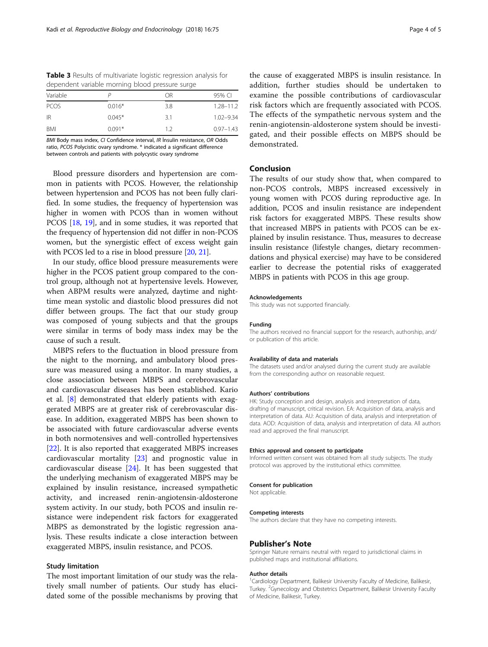<span id="page-3-0"></span>Table 3 Results of multivariate logistic regression analysis for dependent variable morning blood pressure surge

| Variable    |          | OR  | 95% CI        |
|-------------|----------|-----|---------------|
| <b>PCOS</b> | $0.016*$ | 3.8 | $1.28 - 11.2$ |
| -IR         | $0.045*$ | 3.1 | $1.02 - 9.34$ |
| BMI         | $0.091*$ | 12  | $0.97 - 1.43$ |

BMI Body mass index, CI Confidence interval, IR İnsulin resistance, OR Odds ratio, PCOS Polycistic ovary syndrome. \* indicated a significant difference between controls and patients with polycystic ovary syndrome

Blood pressure disorders and hypertension are common in patients with PCOS. However, the relationship between hypertension and PCOS has not been fully clarified. In some studies, the frequency of hypertension was higher in women with PCOS than in women without PCOS [\[18,](#page-4-0) [19\]](#page-4-0), and in some studies, it was reported that the frequency of hypertension did not differ in non-PCOS women, but the synergistic effect of excess weight gain with PCOS led to a rise in blood pressure [\[20,](#page-4-0) [21](#page-4-0)].

In our study, office blood pressure measurements were higher in the PCOS patient group compared to the control group, although not at hypertensive levels. However, when ABPM results were analyzed, daytime and nighttime mean systolic and diastolic blood pressures did not differ between groups. The fact that our study group was composed of young subjects and that the groups were similar in terms of body mass index may be the cause of such a result.

MBPS refers to the fluctuation in blood pressure from the night to the morning, and ambulatory blood pressure was measured using a monitor. In many studies, a close association between MBPS and cerebrovascular and cardiovascular diseases has been established. Kario et al. [\[8](#page-4-0)] demonstrated that elderly patients with exaggerated MBPS are at greater risk of cerebrovascular disease. In addition, exaggerated MBPS has been shown to be associated with future cardiovascular adverse events in both normotensives and well-controlled hypertensives [[22\]](#page-4-0). It is also reported that exaggerated MBPS increases cardiovascular mortality [\[23\]](#page-4-0) and prognostic value in cardiovascular disease [[24](#page-4-0)]. It has been suggested that the underlying mechanism of exaggerated MBPS may be explained by insulin resistance, increased sympathetic activity, and increased renin-angiotensin-aldosterone system activity. In our study, both PCOS and insulin resistance were independent risk factors for exaggerated MBPS as demonstrated by the logistic regression analysis. These results indicate a close interaction between exaggerated MBPS, insulin resistance, and PCOS.

## Study limitation

The most important limitation of our study was the relatively small number of patients. Our study has elucidated some of the possible mechanisms by proving that

the cause of exaggerated MBPS is insulin resistance. In addition, further studies should be undertaken to examine the possible contributions of cardiovascular risk factors which are frequently associated with PCOS. The effects of the sympathetic nervous system and the renin-angiotensin-aldosterone system should be investigated, and their possible effects on MBPS should be demonstrated.

## Conclusion

The results of our study show that, when compared to non-PCOS controls, MBPS increased excessively in young women with PCOS during reproductive age. In addition, PCOS and insulin resistance are independent risk factors for exaggerated MBPS. These results show that increased MBPS in patients with PCOS can be explained by insulin resistance. Thus, measures to decrease insulin resistance (lifestyle changes, dietary recommendations and physical exercise) may have to be considered earlier to decrease the potential risks of exaggerated MBPS in patients with PCOS in this age group.

## Acknowledgements

This study was not supported financially.

## Funding

The authors received no financial support for the research, authorship, and/ or publication of this article.

### Availability of data and materials

The datasets used and/or analysed during the current study are available from the corresponding author on reasonable request.

## Authors' contributions

HK: Study conception and design, analysis and interpretation of data, drafting of manuscript, critical revision. EA: Acquisition of data, analysis and interpretation of data. AU: Acquisition of data, analysis and interpretation of data. AOD: Acquisition of data, analysis and interpretation of data. All authors read and approved the final manuscript.

### Ethics approval and consent to participate

Informed written consent was obtained from all study subjects. The study protocol was approved by the institutional ethics committee.

### Consent for publication

Not applicable.

### Competing interests

The authors declare that they have no competing interests.

## Publisher's Note

Springer Nature remains neutral with regard to jurisdictional claims in published maps and institutional affiliations.

## Author details

<sup>1</sup> Cardiology Department, Balikesir University Faculty of Medicine, Balikesir Turkey. <sup>2</sup>Gynecology and Obstetrics Department, Balikesir University Faculty of Medicine, Balikesir, Turkey.